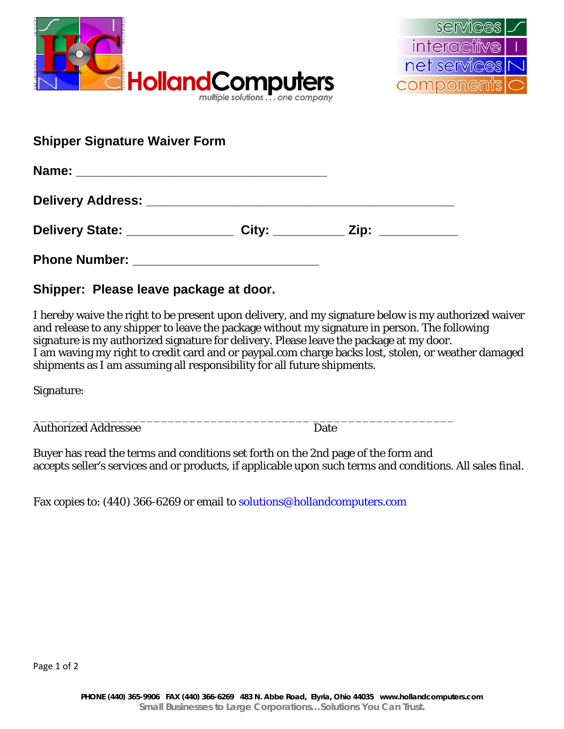



| <b>Shipper Signature Waiver Form</b>                                                                            |  |  |  |
|-----------------------------------------------------------------------------------------------------------------|--|--|--|
|                                                                                                                 |  |  |  |
| Delivery Address: New York Street, New York Street, New York Street, New York Street, New York Street, New York |  |  |  |
| Delivery State: _______________________ City: _____________ Zip: _______________                                |  |  |  |
|                                                                                                                 |  |  |  |

**Shipper: Please leave package at door.** 

I hereby waive the right to be present upon delivery, and my signature below is my authorized waiver and release to any shipper to leave the package without my signature in person. The following signature is my authorized signature for delivery. Please leave the package at my door. I am waving my right to credit card and or paypal.com charge backs lost, stolen, or weather damaged shipments as I am assuming all responsibility for all future shipments.

Signature:

Authorized Addressee Date

Buyer has read the terms and conditions set forth on the 2nd page of the form and accepts seller's services and or products, if applicable upon such terms and conditions. All sales final.

Fax copies to: (440) 366-6269 or email to solutions@hollandcomputers.com

\_\_\_\_\_\_\_\_\_\_\_\_\_\_\_\_\_\_\_\_\_\_\_\_\_\_\_\_\_\_\_\_\_\_\_\_\_\_\_ \_\_\_\_\_\_\_\_\_\_\_\_\_\_\_\_\_\_\_\_